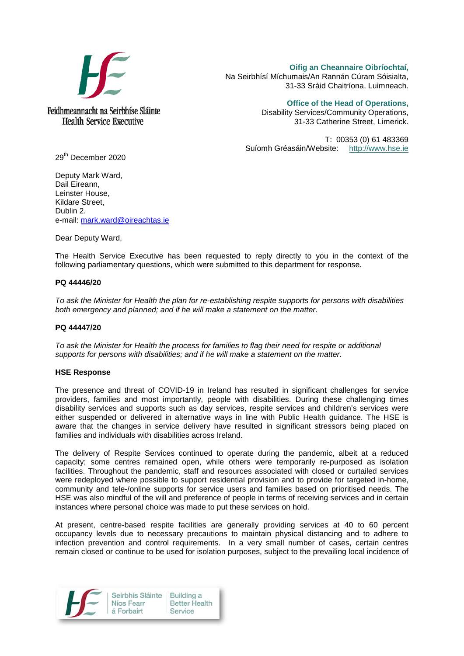

Feidhmeannacht na Seirbhíse Sláinte **Health Service Executive** 

**Oifig an Cheannaire Oibríochtaí,**  Na Seirbhísí Míchumais/An Rannán Cúram Sóisialta, 31-33 Sráid Chaitríona, Luimneach.

> **Office of the Head of Operations,** Disability Services/Community Operations, 31-33 Catherine Street, Limerick.

T: 00353 (0) 61 483369 Suíomh Gréasáin/Website: [http://www.hse.ie](http://www.hse.ie/)

29th December 2020

Deputy Mark Ward, Dail Eireann, Leinster House, Kildare Street, Dublin 2. e-mail: [mark.ward@oireachtas.ie](mailto:mark.ward@oireachtas.ie)

Dear Deputy Ward,

The Health Service Executive has been requested to reply directly to you in the context of the following parliamentary questions, which were submitted to this department for response.

## **PQ 44446/20**

*To ask the Minister for Health the plan for re-establishing respite supports for persons with disabilities both emergency and planned; and if he will make a statement on the matter.*

## **PQ 44447/20**

*To ask the Minister for Health the process for families to flag their need for respite or additional supports for persons with disabilities; and if he will make a statement on the matter.*

## **HSE Response**

The presence and threat of COVID-19 in Ireland has resulted in significant challenges for service providers, families and most importantly, people with disabilities. During these challenging times disability services and supports such as day services, respite services and children's services were either suspended or delivered in alternative ways in line with Public Health guidance. The HSE is aware that the changes in service delivery have resulted in significant stressors being placed on families and individuals with disabilities across Ireland.

The delivery of Respite Services continued to operate during the pandemic, albeit at a reduced capacity; some centres remained open, while others were temporarily re-purposed as isolation facilities. Throughout the pandemic, staff and resources associated with closed or curtailed services were redeployed where possible to support residential provision and to provide for targeted in-home, community and tele-/online supports for service users and families based on prioritised needs. The HSE was also mindful of the will and preference of people in terms of receiving services and in certain instances where personal choice was made to put these services on hold.

At present, centre-based respite facilities are generally providing services at 40 to 60 percent occupancy levels due to necessary precautions to maintain physical distancing and to adhere to infection prevention and control requirements. In a very small number of cases, certain centres remain closed or continue to be used for isolation purposes, subject to the prevailing local incidence of